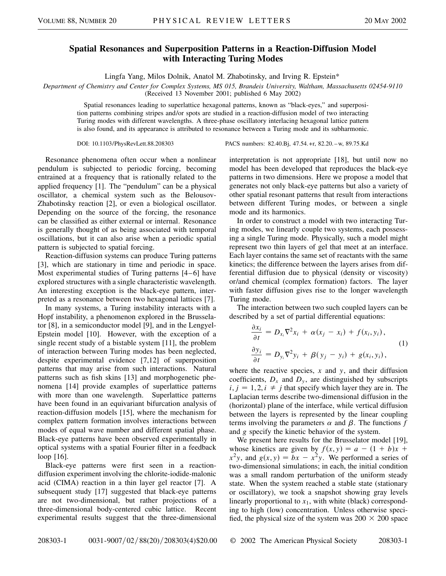## **Spatial Resonances and Superposition Patterns in a Reaction-Diffusion Model with Interacting Turing Modes**

Lingfa Yang, Milos Dolnik, Anatol M. Zhabotinsky, and Irving R. Epstein\*

*Department of Chemistry and Center for Complex Systems, MS 015, Brandeis University, Waltham, Massachusetts 02454-9110* (Received 13 November 2001; published 6 May 2002)

Spatial resonances leading to superlattice hexagonal patterns, known as "black-eyes," and superposition patterns combining stripes and/or spots are studied in a reaction-diffusion model of two interacting Turing modes with different wavelengths. A three-phase oscillatory interlacing hexagonal lattice pattern is also found, and its appearance is attributed to resonance between a Turing mode and its subharmonic.

DOI: 10.1103/PhysRevLett.88.208303 PACS numbers: 82.40.Bj, 47.54.+r, 82.20. –w, 89.75.Kd

Resonance phenomena often occur when a nonlinear pendulum is subjected to periodic forcing, becoming entrained at a frequency that is rationally related to the applied frequency [1]. The "pendulum" can be a physical oscillator, a chemical system such as the Belousov-Zhabotinsky reaction [2], or even a biological oscillator. Depending on the source of the forcing, the resonance can be classified as either external or internal. Resonance is generally thought of as being associated with temporal oscillations, but it can also arise when a periodic spatial pattern is subjected to spatial forcing.

Reaction-diffusion systems can produce Turing patterns [3], which are stationary in time and periodic in space. Most experimental studies of Turing patterns [4–6] have explored structures with a single characteristic wavelength. An interesting exception is the black-eye pattern, interpreted as a resonance between two hexagonal lattices [7].

In many systems, a Turing instability interacts with a Hopf instability, a phenomenon explored in the Brusselator [8], in a semiconductor model [9], and in the Lengyel-Epstein model [10]. However, with the exception of a single recent study of a bistable system [11], the problem of interaction between Turing modes has been neglected, despite experimental evidence [7,12] of superposition patterns that may arise from such interactions. Natural patterns such as fish skins [13] and morphogenetic phenomena [14] provide examples of superlattice patterns with more than one wavelength. Superlattice patterns have been found in an equivariant bifurcation analysis of reaction-diffusion models [15], where the mechanism for complex pattern formation involves interactions between modes of equal wave number and different spatial phase. Black-eye patterns have been observed experimentally in optical systems with a spatial Fourier filter in a feedback loop [16].

Black-eye patterns were first seen in a reactiondiffusion experiment involving the chlorite-iodide-malonic acid (CIMA) reaction in a thin layer gel reactor [7]. A subsequent study [17] suggested that black-eye patterns are not two-dimensional, but rather projections of a three-dimensional body-centered cubic lattice. Recent experimental results suggest that the three-dimensional interpretation is not appropriate [18], but until now no model has been developed that reproduces the black-eye patterns in two dimensions. Here we propose a model that generates not only black-eye patterns but also a variety of other spatial resonant patterns that result from interactions between different Turing modes, or between a single mode and its harmonics.

In order to construct a model with two interacting Turing modes, we linearly couple two systems, each possessing a single Turing mode. Physically, such a model might represent two thin layers of gel that meet at an interface. Each layer contains the same set of reactants with the same kinetics; the difference between the layers arises from differential diffusion due to physical (density or viscosity) or/and chemical (complex formation) factors. The layer with faster diffusion gives rise to the longer wavelength Turing mode.

The interaction between two such coupled layers can be described by a set of partial differential equations:

$$
\frac{\partial x_i}{\partial t} = D_{x_i} \nabla^2 x_i + \alpha (x_j - x_i) + f(x_i, y_i),
$$
  
(1)  

$$
\frac{\partial y_i}{\partial t} = D_{y_i} \nabla^2 y_i + \beta (y_j - y_i) + g(x_i, y_i),
$$

where the reactive species, *x* and *y*, and their diffusion coefficients,  $D_x$  and  $D_y$ , are distinguished by subscripts  $i, j = 1, 2, i \neq j$  that specify which layer they are in. The Laplacian terms describe two-dimensional diffusion in the (horizontal) plane of the interface, while vertical diffusion between the layers is represented by the linear coupling terms involving the parameters  $\alpha$  and  $\beta$ . The functions  $f$ and *g* specify the kinetic behavior of the system.

We present here results for the Brusselator model [19], whose kinetics are given by  $f(x, y) = a - (1 + b)x +$  $x^2y$ , and  $g(x, y) = bx - x^2y$ . We performed a series of two-dimensional simulations; in each, the initial condition was a small random perturbation of the uniform steady state. When the system reached a stable state (stationary or oscillatory), we took a snapshot showing gray levels linearly proportional to  $x_1$ , with white (black) corresponding to high (low) concentration. Unless otherwise specified, the physical size of the system was  $200 \times 200$  space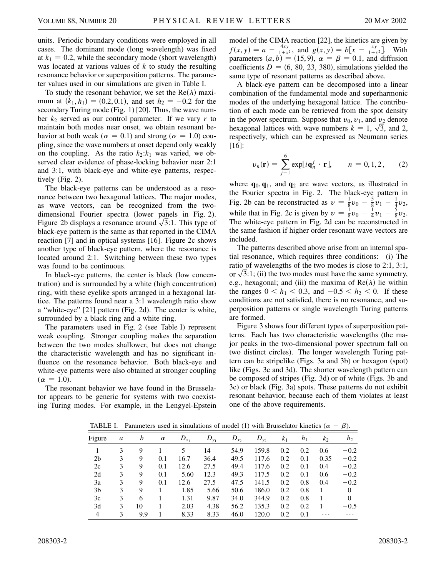units. Periodic boundary conditions were employed in all cases. The dominant mode (long wavelength) was fixed at  $k_1 = 0.2$ , while the secondary mode (short wavelength) was located at various values of *k* to study the resulting resonance behavior or superposition patterns. The parameter values used in our simulations are given in Table I.

To study the resonant behavior, we set the  $Re(\lambda)$  maximum at  $(k_1, h_1) = (0.2, 0.1)$ , and set  $h_2 = -0.2$  for the secondary Turing mode (Fig. 1) [20]. Thus, the wave number  $k_2$  served as our control parameter. If we vary  $r$  to maintain both modes near onset, we obtain resonant behavior at both weak ( $\alpha = 0.1$ ) and strong ( $\alpha = 1.0$ ) coupling, since the wave numbers at onset depend only weakly on the coupling. As the ratio  $k_2$ : $k_1$  was varied, we observed clear evidence of phase-locking behavior near 2:1 and 3:1, with black-eye and white-eye patterns, respectively (Fig. 2).

The black-eye patterns can be understood as a resonance between two hexagonal lattices. The major modes, as wave vectors, can be recognized from the twodimensional Fourier spectra (lower panels in Fig. 2). dimensional Fourier spectra (lower panels in Fig. 2).<br>Figure 2b displays a resonance around  $\sqrt{3}$ :1. This type of black-eye pattern is the same as that reported in the CIMA reaction [7] and in optical systems [16]. Figure 2c shows another type of black-eye pattern, where the resonance is located around 2:1. Switching between these two types was found to be continuous.

In black-eye patterns, the center is black (low concentration) and is surrounded by a white (high concentration) ring, with these eyelike spots arranged in a hexagonal lattice. The patterns found near a 3:1 wavelength ratio show a "white-eye" [21] pattern (Fig. 2d). The center is white, surrounded by a black ring and a white ring.

The parameters used in Fig. 2 (see Table I) represent weak coupling. Stronger coupling makes the separation between the two modes shallower, but does not change the characteristic wavelength and has no significant influence on the resonance behavior. Both black-eye and white-eye patterns were also obtained at stronger coupling  $(\alpha = 1.0).$ 

The resonant behavior we have found in the Brusselator appears to be generic for systems with two coexisting Turing modes. For example, in the Lengyel-Epstein model of the CIMA reaction [22], the kinetics are given by  $f(x, y) = a - \frac{4xy}{1+x^2}$ , and  $g(x, y) = b[x - \frac{xy}{1+x^2}]$ . With parameters  $(a, b) = (15, 9)$ ,  $\alpha = \beta = 0.1$ , and diffusion coefficients  $D = (6, 80, 23, 380)$ , simulations yielded the same type of resonant patterns as described above.

A black-eye pattern can be decomposed into a linear combination of the fundamental mode and superharmonic modes of the underlying hexagonal lattice. The contribution of each mode can be retrieved from the spot density in the power spectrum. Suppose that  $v_0$ ,  $v_1$ , and  $v_2$  denote hexagonal lattices with wave numbers  $k = 1, \sqrt{3}$ , and 2, respectively, which can be expressed as Neumann series [16]:

$$
\boldsymbol{v}_n(\mathbf{r}) = \sum_{j=1}^6 \exp[i\mathbf{q}_n^j \cdot \mathbf{r}], \qquad n = 0, 1, 2, \qquad (2)
$$

where  $\mathbf{q}_0, \mathbf{q}_1$ , and  $\mathbf{q}_2$  are wave vectors, as illustrated in the Fourier spectra in Fig. 2. The black-eye pattern in Fig. 2b can be reconstructed as  $v = \frac{1}{8}v_0 - \frac{5}{8}v_1 - \frac{1}{4}v_2$ , while that in Fig. 2c is given by  $v = \frac{1}{8}v_0 - \frac{1}{4}v_1 - \frac{5}{8}v_2$ . The white-eye pattern in Fig. 2d can be reconstructed in the same fashion if higher order resonant wave vectors are included.

The patterns described above arise from an internal spatial resonance, which requires three conditions: (i) The ratio of wavelengths of the two modes is close to 2:1, 3:1, ratio of wavelengths of the two modes is close to 2:1, 3:1, or  $\sqrt{3}$ :1; (ii) the two modes must have the same symmetry, e.g., hexagonal; and (iii) the maxima of  $Re(\lambda)$  lie within the ranges  $0 < h_1 < 0.3$ , and  $-0.5 < h_2 < 0$ . If these conditions are not satisfied, there is no resonance, and superposition patterns or single wavelength Turing patterns are formed.

Figure 3 shows four different types of superposition patterns. Each has two characteristic wavelengths (the major peaks in the two-dimensional power spectrum fall on two distinct circles). The longer wavelength Turing pattern can be stripelike (Figs. 3a and 3b) or hexagon (spot) like (Figs. 3c and 3d). The shorter wavelength pattern can be composed of stripes (Fig. 3d) or of white (Figs. 3b and 3c) or black (Fig. 3a) spots. These patterns do not exhibit resonant behavior, because each of them violates at least one of the above requirements.

| Figure         | a | b   | $\alpha$ | $D_{x_1}$ | $D_{y_1}$ | $D_{x_2}$ | $D_{y_2}$ | k <sub>1</sub> | $h_1$ | k <sub>2</sub> | $h_2$    |
|----------------|---|-----|----------|-----------|-----------|-----------|-----------|----------------|-------|----------------|----------|
|                | 3 | 9   |          | 5         | 14        | 54.9      | 159.8     | 0.2            | 0.2   | 0.6            | $-0.2$   |
| 2 <sub>b</sub> | 3 | 9   | 0.1      | 16.7      | 36.4      | 49.5      | 117.6     | 0.2            | 0.1   | 0.35           | $-0.2$   |
| 2c             | 3 | 9   | 0.1      | 12.6      | 27.5      | 49.4      | 117.6     | 0.2            | 0.1   | 0.4            | $-0.2$   |
| 2d             | 3 | 9   | 0.1      | 5.60      | 12.3      | 49.3      | 117.5     | 0.2            | 0.1   | 0.6            | $-0.2$   |
| 3a             | 3 | 9   | 0.1      | 12.6      | 27.5      | 47.5      | 141.5     | 0.2            | 0.8   | 0.4            | $-0.2$   |
| 3 <sub>b</sub> | 3 | 9   |          | 1.85      | 5.66      | 50.6      | 186.0     | 0.2            | 0.8   |                | $\Omega$ |
| 3c             | 3 | 6   |          | 1.31      | 9.87      | 34.0      | 344.9     | 0.2            | 0.8   |                | $\theta$ |
| 3d             | 3 | 10  |          | 2.03      | 4.38      | 56.2      | 135.3     | 0.2            | 0.2   |                | $-0.5$   |
| $\overline{4}$ | 3 | 9.9 |          | 8.33      | 8.33      | 46.0      | 120.0     | 0.2            | 0.1   | $\cdots$       | .        |

TABLE I. Parameters used in simulations of model (1) with Brusselator kinetics ( $\alpha = \beta$ ).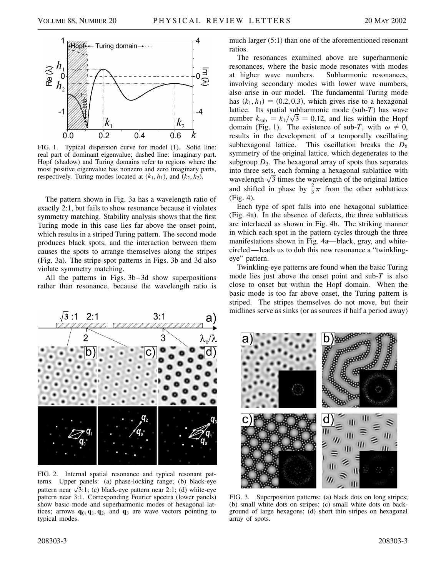

FIG. 1. Typical dispersion curve for model (1). Solid line: real part of dominant eigenvalue; dashed line: imaginary part. Hopf (shadow) and Turing domains refer to regions where the most positive eigenvalue has nonzero and zero imaginary parts, respectively. Turing modes located at  $(k_1, h_1)$ , and  $(k_2, h_2)$ .

The pattern shown in Fig. 3a has a wavelength ratio of exactly 2:1, but fails to show resonance because it violates symmetry matching. Stability analysis shows that the first Turing mode in this case lies far above the onset point, which results in a striped Turing pattern. The second mode produces black spots, and the interaction between them causes the spots to arrange themselves along the stripes (Fig. 3a). The stripe-spot patterns in Figs. 3b and 3d also violate symmetry matching.

All the patterns in Figs. 3b–3d show superpositions rather than resonance, because the wavelength ratio is



FIG. 2. Internal spatial resonance and typical resonant patterns. Upper panels: (a) phase-locking range; (b) black-eye terns. Upper panels: (a) phase-locking range; (b) black-eye<br>pattern near  $\sqrt{3}$ :1; (c) black-eye pattern near 2:1; (d) white-eye pattern near 3:1. Corresponding Fourier spectra (lower panels) show basic mode and superharmonic modes of hexagonal lattices; arrows  $\mathbf{q}_0$ ,  $\mathbf{q}_1$ ,  $\mathbf{q}_2$ , and  $\mathbf{q}_3$  are wave vectors pointing to typical modes.

much larger (5:1) than one of the aforementioned resonant ratios.

The resonances examined above are superharmonic resonances, where the basic mode resonates with modes at higher wave numbers. Subharmonic resonances, involving secondary modes with lower wave numbers, also arise in our model. The fundamental Turing mode has  $(k_1, h_1) = (0.2, 0.3)$ , which gives rise to a hexagonal lattice. Its spatial subharmonic mode (sub-*T*) has wave number  $k_{\text{sub}} = k_1/\sqrt{3} = 0.12$ , and lies within the Hopf domain (Fig. 1). The existence of sub-*T*, with  $\omega \neq 0$ , results in the development of a temporally oscillating subhexagonal lattice. This oscillation breaks the  $D_6$ symmetry of the original lattice, which degenerates to the subgroup  $D_3$ . The hexagonal array of spots thus separates into three sets, each forming a hexagonal sublattice with into three sets, each forming a hexagonal sublattice with wavelength  $\sqrt{3}$  times the wavelength of the original lattice and shifted in phase by  $\frac{2}{3}\pi$  from the other sublattices (Fig. 4).

Each type of spot falls into one hexagonal sublattice (Fig. 4a). In the absence of defects, the three sublattices are interlaced as shown in Fig. 4b. The striking manner in which each spot in the pattern cycles through the three manifestations shown in Fig. 4a—black, gray, and whitecircled—leads us to dub this new resonance a "twinklingeye" pattern.

Twinkling-eye patterns are found when the basic Turing mode lies just above the onset point and sub-*T* is also close to onset but within the Hopf domain. When the basic mode is too far above onset, the Turing pattern is striped. The stripes themselves do not move, but their midlines serve as sinks (or as sources if half a period away)



FIG. 3. Superposition patterns: (a) black dots on long stripes; (b) small white dots on stripes; (c) small white dots on background of large hexagons; (d) short thin stripes on hexagonal array of spots.